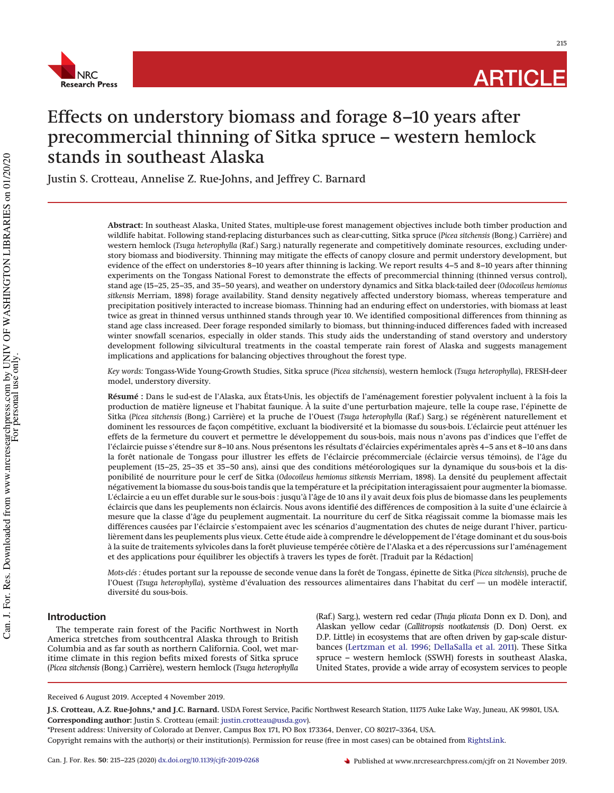

215

# Effects on understory biomass and forage 8–10 years after precommercial thinning of Sitka spruce – western hemlock stands in southeast Alaska

Justin S. Crotteau, Annelise Z. Rue-Johns, and Jeffrey C. Barnard

**Abstract:** In southeast Alaska, United States, multiple-use forest management objectives include both timber production and wildlife habitat. Following stand-replacing disturbances such as clear-cutting, Sitka spruce (*Picea sitchensis* (Bong.) Carrière) and western hemlock (*Tsuga heterophylla* (Raf.) Sarg.) naturally regenerate and competitively dominate resources, excluding understory biomass and biodiversity. Thinning may mitigate the effects of canopy closure and permit understory development, but evidence of the effect on understories 8–10 years after thinning is lacking. We report results 4–5 and 8–10 years after thinning experiments on the Tongass National Forest to demonstrate the effects of precommercial thinning (thinned versus control), stand age (15–25, 25–35, and 35–50 years), and weather on understory dynamics and Sitka black-tailed deer (*Odocoileus hemionus sitkensis* Merriam, 1898) forage availability. Stand density negatively affected understory biomass, whereas temperature and precipitation positively interacted to increase biomass. Thinning had an enduring effect on understories, with biomass at least twice as great in thinned versus unthinned stands through year 10. We identified compositional differences from thinning as stand age class increased. Deer forage responded similarly to biomass, but thinning-induced differences faded with increased winter snowfall scenarios, especially in older stands. This study aids the understanding of stand overstory and understory development following silvicultural treatments in the coastal temperate rain forest of Alaska and suggests management implications and applications for balancing objectives throughout the forest type.

*Key words:* Tongass-Wide Young-Growth Studies, Sitka spruce (*Picea sitchensis*), western hemlock (*Tsuga heterophylla*), FRESH-deer model, understory diversity.

**Résumé :** Dans le sud-est de l'Alaska, aux États-Unis, les objectifs de l'aménagement forestier polyvalent incluent à la fois la production de matière ligneuse et l'habitat faunique. À la suite d'une perturbation majeure, telle la coupe rase, l'épinette de Sitka (*Picea sitchensis* (Bong.) Carrière) et la pruche de l'Ouest (*Tsuga heterophylla* (Raf.) Sarg.) se régénèrent naturellement et dominent les ressources de façon compétitive, excluant la biodiversité et la biomasse du sous-bois. L'éclaircie peut atténuer les effets de la fermeture du couvert et permettre le développement du sous-bois, mais nous n'avons pas d'indices que l'effet de l'éclaircie puisse s'étendre sur 8–10 ans. Nous présentons les résultats d'éclaircies expérimentales après 4–5 ans et 8–10 ans dans la forêt nationale de Tongass pour illustrer les effets de l'éclaircie précommerciale (éclaircie versus témoins), de l'âge du peuplement (15–25, 25–35 et 35–50 ans), ainsi que des conditions météorologiques sur la dynamique du sous-bois et la disponibilité de nourriture pour le cerf de Sitka (*Odocoileus hemionus sitkensis* Merriam, 1898). La densité du peuplement affectait négativement la biomasse du sous-bois tandis que la température et la précipitation interagissaient pour augmenter la biomasse. L'éclaircie a eu un effet durable sur le sous-bois : jusqu'à l'âge de 10 ans il y avait deux fois plus de biomasse dans les peuplements éclaircis que dans les peuplements non éclaircis. Nous avons identifié des différences de composition à la suite d'une éclaircie à mesure que la classe d'âge du peuplement augmentait. La nourriture du cerf de Sitka réagissait comme la biomasse mais les différences causées par l'éclaircie s'estompaient avec les scénarios d'augmentation des chutes de neige durant l'hiver, particulièrement dans les peuplements plus vieux. Cette étude aide à comprendre le développement de l'étage dominant et du sous-bois à la suite de traitements sylvicoles dans la forêt pluvieuse tempérée côtière de l'Alaska et a des répercussions sur l'aménagement et des applications pour équilibrer les objectifs à travers les types de forêt. [Traduit par la Rédaction]

*Mots-clés :* études portant sur la repousse de seconde venue dans la forêt de Tongass, épinette de Sitka (*Picea sitchensis*), pruche de l'Ouest (*Tsuga heterophylla*), système d'évaluation des ressources alimentaires dans l'habitat du cerf — un modèle interactif, diversité du sous-bois.

# **Introduction**

The temperate rain forest of the Pacific Northwest in North America stretches from southcentral Alaska through to British Columbia and as far south as northern California. Cool, wet maritime climate in this region befits mixed forests of Sitka spruce (*Picea sitchensis* (Bong.) Carrière), western hemlock (*Tsuga heterophylla* (Raf.) Sarg.), western red cedar (*Thuja plicata* Donn ex D. Don), and Alaskan yellow cedar (*Callitropsis nootkatensis* (D. Don) Oerst. ex D.P. Little) in ecosystems that are often driven by gap-scale disturbances [\(Lertzman et al. 1996;](#page-10-0) [DellaSalla et al. 2011\)](#page-9-0). These Sitka spruce – western hemlock (SSWH) forests in southeast Alaska, United States, provide a wide array of ecosystem services to people

\*Present address: University of Colorado at Denver, Campus Box 171, PO Box 173364, Denver, CO 80217–3364, USA.

Received 6 August 2019. Accepted 4 November 2019.

**J.S. Crotteau, A.Z. Rue-Johns,\* and J.C. Barnard.** USDA Forest Service, Pacific Northwest Research Station, 11175 Auke Lake Way, Juneau, AK 99801, USA. **Corresponding author:** Justin S. Crotteau (email: [justin.crotteau@usda.gov\)](mailto:justin.crotteau@usda.gov).

Copyright remains with the author(s) or their institution(s). Permission for reuse (free in most cases) can be obtained from [RightsLink.](http://www.nrcresearchpress.com/page/authors/services/reprints)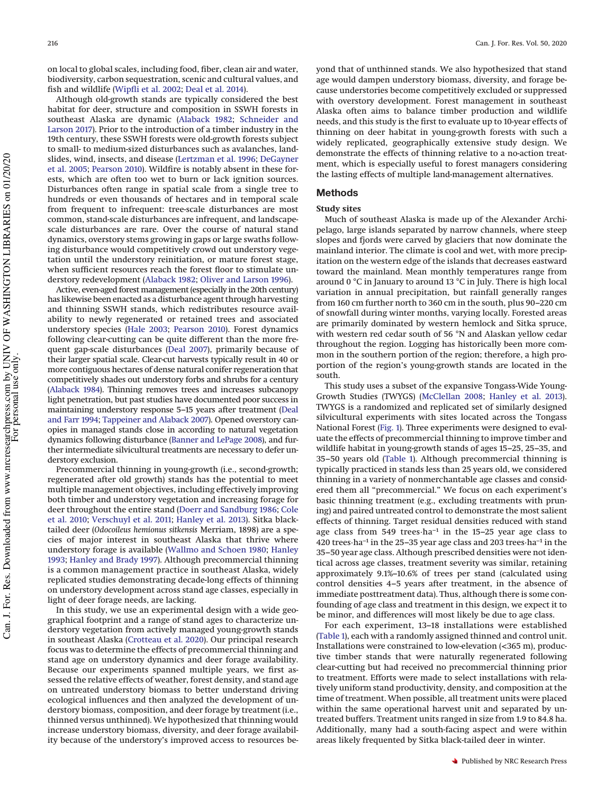on local to global scales, including food, fiber, clean air and water, biodiversity, carbon sequestration, scenic and cultural values, and fish and wildlife [\(Wipfli et al. 2002;](#page-10-1) [Deal et al. 2014\)](#page-9-1).

Although old-growth stands are typically considered the best habitat for deer, structure and composition in SSWH forests in southeast Alaska are dynamic [\(Alaback 1982;](#page-9-2) [Schneider and](#page-10-2) [Larson 2017\)](#page-10-2). Prior to the introduction of a timber industry in the 19th century, these SSWH forests were old-growth forests subject to small- to medium-sized disturbances such as avalanches, landslides, wind, insects, and disease [\(Lertzman et al. 1996;](#page-10-0) [DeGayner](#page-9-3) [et al. 2005;](#page-9-3) [Pearson 2010\)](#page-10-3). Wildfire is notably absent in these forests, which are often too wet to burn or lack ignition sources. Disturbances often range in spatial scale from a single tree to hundreds or even thousands of hectares and in temporal scale from frequent to infrequent: tree-scale disturbances are most common, stand-scale disturbances are infrequent, and landscapescale disturbances are rare. Over the course of natural stand dynamics, overstory stems growing in gaps or large swaths following disturbance would competitively crowd out understory vegetation until the understory reinitiation, or mature forest stage, when sufficient resources reach the forest floor to stimulate understory redevelopment [\(Alaback 1982;](#page-9-2) [Oliver and Larson 1996\)](#page-10-4).

Active, even-aged forest management (especially in the 20th century) has likewise been enacted as a disturbance agent through harvesting and thinning SSWH stands, which redistributes resource availability to newly regenerated or retained trees and associated understory species [\(Hale 2003;](#page-9-4) [Pearson 2010\)](#page-10-3). Forest dynamics following clear-cutting can be quite different than the more frequent gap-scale disturbances [\(Deal 2007\)](#page-9-5), primarily because of their larger spatial scale. Clear-cut harvests typically result in 40 or more contiguous hectares of dense natural conifer regeneration that competitively shades out understory forbs and shrubs for a century [\(Alaback 1984\)](#page-9-6). Thinning removes trees and increases subcanopy light penetration, but past studies have documented poor success in maintaining understory response 5–15 years after treatment [\(Deal](#page-9-7) [and Farr 1994;](#page-9-7) [Tappeiner and Alaback 2007\)](#page-10-5). Opened overstory canopies in managed stands close in according to natural vegetation dynamics following disturbance [\(Banner and LePage 2008\)](#page-9-8), and further intermediate silvicultural treatments are necessary to defer understory exclusion.

Precommercial thinning in young-growth (i.e., second-growth; regenerated after old growth) stands has the potential to meet multiple management objectives, including effectively improving both timber and understory vegetation and increasing forage for deer throughout the entire stand [\(Doerr and Sandburg 1986;](#page-9-9) [Cole](#page-9-10) [et al. 2010;](#page-9-10) [Verschuyl et al. 2011;](#page-10-6) [Hanley et al. 2013\)](#page-9-11). Sitka blacktailed deer (*Odocoileus hemionus sitkensis* Merriam, 1898) are a species of major interest in southeast Alaska that thrive where understory forage is available [\(Wallmo and Schoen 1980;](#page-10-7) [Hanley](#page-9-12) [1993;](#page-9-12) [Hanley and Brady 1997\)](#page-9-13). Although precommercial thinning is a common management practice in southeast Alaska, widely replicated studies demonstrating decade-long effects of thinning on understory development across stand age classes, especially in light of deer forage needs, are lacking.

In this study, we use an experimental design with a wide geographical footprint and a range of stand ages to characterize understory vegetation from actively managed young-growth stands in southeast Alaska [\(Crotteau et al. 2020\)](#page-9-14). Our principal research focus was to determine the effects of precommercial thinning and stand age on understory dynamics and deer forage availability. Because our experiments spanned multiple years, we first assessed the relative effects of weather, forest density, and stand age on untreated understory biomass to better understand driving ecological influences and then analyzed the development of understory biomass, composition, and deer forage by treatment (i.e., thinned versus unthinned). We hypothesized that thinning would increase understory biomass, diversity, and deer forage availability because of the understory's improved access to resources beyond that of unthinned stands. We also hypothesized that stand age would dampen understory biomass, diversity, and forage because understories become competitively excluded or suppressed with overstory development. Forest management in southeast Alaska often aims to balance timber production and wildlife needs, and this study is the first to evaluate up to 10-year effects of thinning on deer habitat in young-growth forests with such a widely replicated, geographically extensive study design. We demonstrate the effects of thinning relative to a no-action treatment, which is especially useful to forest managers considering the lasting effects of multiple land-management alternatives.

# **Methods**

## **Study sites**

Much of southeast Alaska is made up of the Alexander Archipelago, large islands separated by narrow channels, where steep slopes and fjords were carved by glaciers that now dominate the mainland interior. The climate is cool and wet, with more precipitation on the western edge of the islands that decreases eastward toward the mainland. Mean monthly temperatures range from around 0 °C in January to around 13 °C in July. There is high local variation in annual precipitation, but rainfall generally ranges from 160 cm further north to 360 cm in the south, plus 90–220 cm of snowfall during winter months, varying locally. Forested areas are primarily dominated by western hemlock and Sitka spruce, with western red cedar south of 56 °N and Alaskan yellow cedar throughout the region. Logging has historically been more common in the southern portion of the region; therefore, a high proportion of the region's young-growth stands are located in the south.

This study uses a subset of the expansive Tongass-Wide Young-Growth Studies (TWYGS) [\(McClellan 2008;](#page-10-8) [Hanley et al. 2013\)](#page-9-11). TWYGS is a randomized and replicated set of similarly designed silvicultural experiments with sites located across the Tongass National Forest [\(Fig. 1\)](#page-2-0). Three experiments were designed to evaluate the effects of precommercial thinning to improve timber and wildlife habitat in young-growth stands of ages 15–25, 25–35, and 35–50 years old [\(Table 1\)](#page-2-1). Although precommercial thinning is typically practiced in stands less than 25 years old, we considered thinning in a variety of nonmerchantable age classes and considered them all "precommercial." We focus on each experiment's basic thinning treatment (e.g., excluding treatments with pruning) and paired untreated control to demonstrate the most salient effects of thinning. Target residual densities reduced with stand age class from 549 trees·ha–1 in the 15–25 year age class to 420 trees·ha–1 in the 25–35 year age class and 203 trees·ha–1 in the 35–50 year age class. Although prescribed densities were not identical across age classes, treatment severity was similar, retaining approximately 9.1%–10.6% of trees per stand (calculated using control densities 4–5 years after treatment, in the absence of immediate posttreatment data). Thus, although there is some confounding of age class and treatment in this design, we expect it to be minor, and differences will most likely be due to age class.

For each experiment, 13–18 installations were established [\(Table 1\)](#page-2-1), each with a randomly assigned thinned and control unit. Installations were constrained to low-elevation (<365 m), productive timber stands that were naturally regenerated following clear-cutting but had received no precommercial thinning prior to treatment. Efforts were made to select installations with relatively uniform stand productivity, density, and composition at the time of treatment. When possible, all treatment units were placed within the same operational harvest unit and separated by untreated buffers. Treatment units ranged in size from 1.9 to 84.8 ha. Additionally, many had a south-facing aspect and were within areas likely frequented by Sitka black-tailed deer in winter.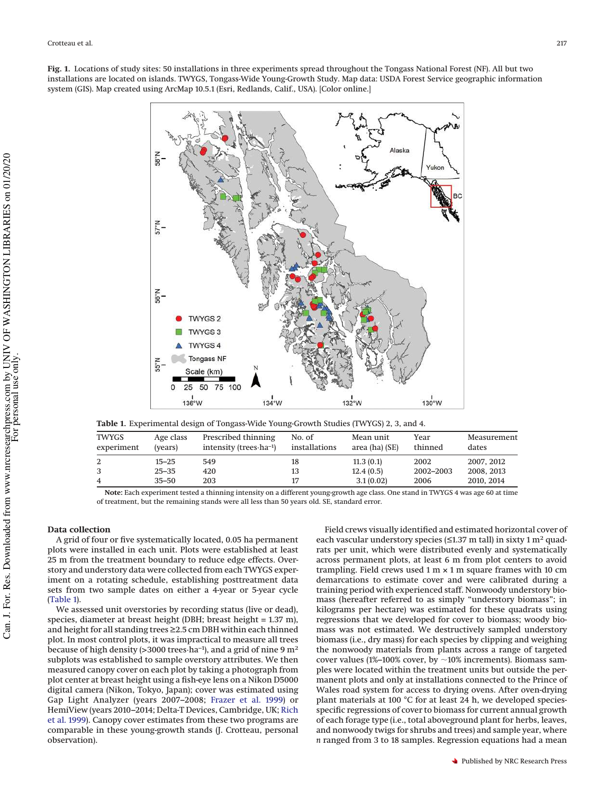<span id="page-2-0"></span>

<span id="page-2-1"></span>**Table 1.** Experimental design of Tongass-Wide Young-Growth Studies (TWYGS) 2, 3, and 4.

| TWYGS<br>experiment | Age class<br>(vears) | Prescribed thinning<br>intensity (trees $\cdot$ ha <sup>-1</sup> ) | No. of<br>installations | Mean unit<br>area (ha) (SE) | Year<br>thinned | Measurement<br>dates |
|---------------------|----------------------|--------------------------------------------------------------------|-------------------------|-----------------------------|-----------------|----------------------|
|                     | $15 - 25$            | 549                                                                | 18                      | 11.3(0.1)                   | 2002            | 2007, 2012           |
|                     | $25 - 35$            | 420                                                                | 13                      | 12.4(0.5)                   | 2002-2003       | 2008, 2013           |
|                     | $35 - 50$            | 203                                                                |                         | 3.1(0.02)                   | 2006            | 2010, 2014           |

**Note:** Each experiment tested a thinning intensity on a different young-growth age class. One stand in TWYGS 4 was age 60 at time of treatment, but the remaining stands were all less than 50 years old. SE, standard error.

## **Data collection**

A grid of four or five systematically located, 0.05 ha permanent plots were installed in each unit. Plots were established at least 25 m from the treatment boundary to reduce edge effects. Overstory and understory data were collected from each TWYGS experiment on a rotating schedule, establishing posttreatment data sets from two sample dates on either a 4-year or 5-year cycle [\(Table 1\)](#page-2-1).

We assessed unit overstories by recording status (live or dead), species, diameter at breast height (DBH; breast height = 1.37 m), and height for all standing trees ≥2.5 cm DBH within each thinned plot. In most control plots, it was impractical to measure all trees because of high density (>3000 trees·ha<sup>-1</sup>), and a grid of nine 9 m<sup>2</sup> subplots was established to sample overstory attributes. We then measured canopy cover on each plot by taking a photograph from plot center at breast height using a fish-eye lens on a Nikon D5000 digital camera (Nikon, Tokyo, Japan); cover was estimated using Gap Light Analyzer (years 2007–2008; [Frazer et al. 1999\)](#page-9-15) or HemiView (years 2010–2014; Delta-T Devices, Cambridge, UK; [Rich](#page-10-9) [et al. 1999\)](#page-10-9). Canopy cover estimates from these two programs are comparable in these young-growth stands (J. Crotteau, personal observation).

Field crews visually identified and estimated horizontal cover of each vascular understory species ( $\leq$ 1.37 m tall) in sixty 1 m<sup>2</sup> quadrats per unit, which were distributed evenly and systematically across permanent plots, at least 6 m from plot centers to avoid trampling. Field crews used  $1 \text{ m} \times 1 \text{ m}$  square frames with 10 cm demarcations to estimate cover and were calibrated during a training period with experienced staff. Nonwoody understory biomass (hereafter referred to as simply "understory biomass"; in kilograms per hectare) was estimated for these quadrats using regressions that we developed for cover to biomass; woody biomass was not estimated. We destructively sampled understory biomass (i.e., dry mass) for each species by clipping and weighing the nonwoody materials from plants across a range of targeted cover values (1%–100% cover, by  $\sim$ 10% increments). Biomass samples were located within the treatment units but outside the permanent plots and only at installations connected to the Prince of Wales road system for access to drying ovens. After oven-drying plant materials at 100 °C for at least 24 h, we developed speciesspecific regressions of cover to biomass for current annual growth of each forage type (i.e., total aboveground plant for herbs, leaves, and nonwoody twigs for shrubs and trees) and sample year, where *n* ranged from 3 to 18 samples. Regression equations had a mean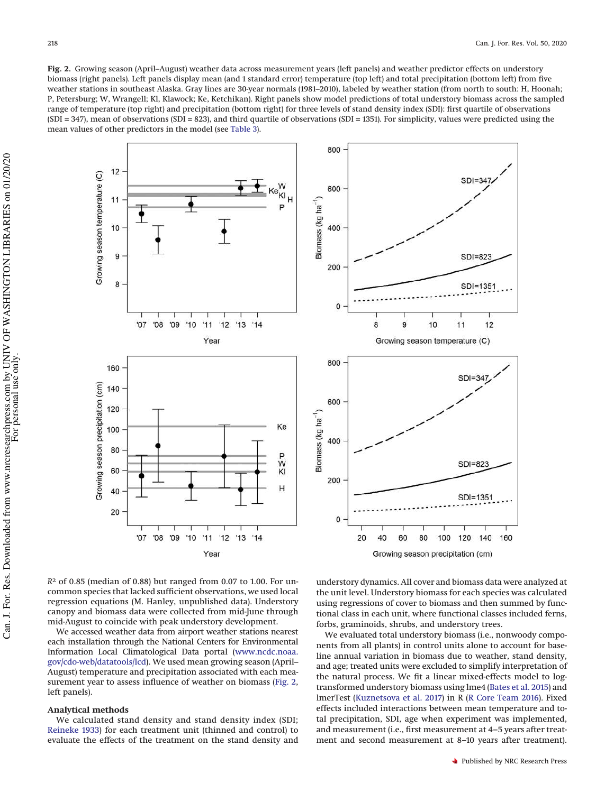<span id="page-3-0"></span>**Fig. 2.** Growing season (April–August) weather data across measurement years (left panels) and weather predictor effects on understory biomass (right panels). Left panels display mean (and 1 standard error) temperature (top left) and total precipitation (bottom left) from five weather stations in southeast Alaska. Gray lines are 30-year normals (1981–2010), labeled by weather station (from north to south: H, Hoonah; P, Petersburg; W, Wrangell; Kl, Klawock; Ke, Ketchikan). Right panels show model predictions of total understory biomass across the sampled range of temperature (top right) and precipitation (bottom right) for three levels of stand density index (SDI): first quartile of observations (SDI = 347), mean of observations (SDI = 823), and third quartile of observations (SDI = 1351). For simplicity, values were predicted using the mean values of other predictors in the model (see [Table 3\)](#page-5-0).





*R* <sup>2</sup> of 0.85 (median of 0.88) but ranged from 0.07 to 1.00. For uncommon species that lacked sufficient observations, we used local regression equations (M. Hanley, unpublished data). Understory canopy and biomass data were collected from mid-June through mid-August to coincide with peak understory development.

We accessed weather data from airport weather stations nearest each installation through the National Centers for Environmental Information Local Climatological Data portal [\(www.ncdc.noaa.](http://www.ncdc.noaa.gov/cdo-web/datatools/lcd) [gov/cdo-web/datatools/lcd\)](http://www.ncdc.noaa.gov/cdo-web/datatools/lcd). We used mean growing season (April– August) temperature and precipitation associated with each measurement year to assess influence of weather on biomass [\(Fig. 2,](#page-3-0) left panels).

#### **Analytical methods**

We calculated stand density and stand density index (SDI; [Reineke 1933\)](#page-10-10) for each treatment unit (thinned and control) to evaluate the effects of the treatment on the stand density and understory dynamics. All cover and biomass data were analyzed at the unit level. Understory biomass for each species was calculated using regressions of cover to biomass and then summed by functional class in each unit, where functional classes included ferns, forbs, graminoids, shrubs, and understory trees.

We evaluated total understory biomass (i.e., nonwoody components from all plants) in control units alone to account for baseline annual variation in biomass due to weather, stand density, and age; treated units were excluded to simplify interpretation of the natural process. We fit a linear mixed-effects model to logtransformed understory biomass using lme4 [\(Bates et al. 2015\)](#page-9-16) and lmerTest [\(Kuznetsova et al. 2017\)](#page-9-17) in R [\(R Core Team 2016\)](#page-10-11). Fixed effects included interactions between mean temperature and total precipitation, SDI, age when experiment was implemented, and measurement (i.e., first measurement at 4–5 years after treatment and second measurement at 8–10 years after treatment).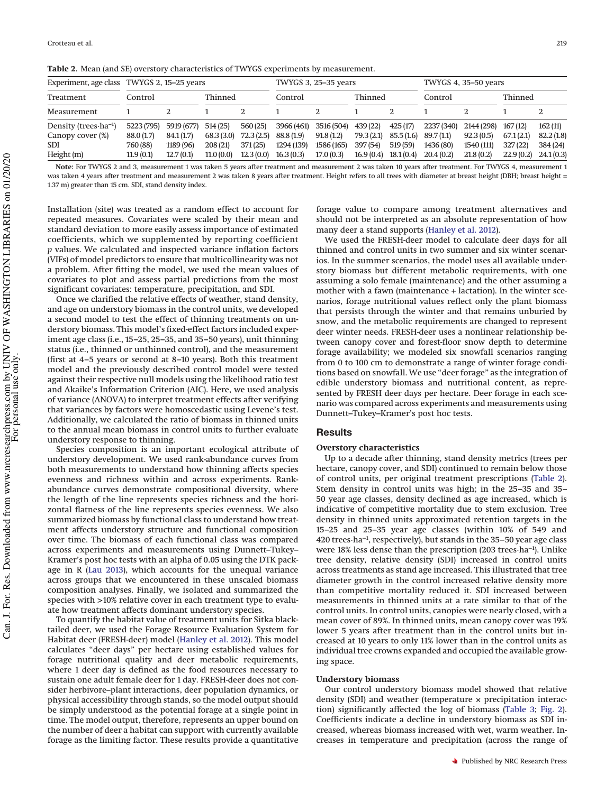<span id="page-4-0"></span>**Table 2.** Mean (and SE) overstory characteristics of TWYGS experiments by measurement.

| Experiment, age class      | TWYGS 2, 15–25 years |            |            |           |            | TWYGS 3, 25-35 years |           |            | TWYGS 4, 35-50 years |            |           |           |
|----------------------------|----------------------|------------|------------|-----------|------------|----------------------|-----------|------------|----------------------|------------|-----------|-----------|
| Treatment                  | Control              |            | Thinned    |           | Control    |                      | Thinned   |            | Control              |            | Thinned   |           |
| Measurement                |                      |            |            |           |            |                      |           |            |                      |            |           |           |
| Density (trees $ha^{-1}$ ) | 5223 (795)           | 5919 (677) | 514(25)    | 560(25)   | 3966 (461) | 3516 (504)           | 439 (22)  | 425(17)    | 2237 (340)           | 2144 (298) | 167(12)   | 162(11)   |
| Canopy cover (%)           | 88.0 (1.7)           | 84.1 (1.7) | 68.3 (3.0) | 72.3(2.5) | 88.8 (1.9) | 91.8(1.2)            | 79.3(2.1) | 85.5 (1.6) | 89.7 (1.1)           | 92.3(0.5)  | 67.1(2.1) | 82.2(1.8) |
| <b>SDI</b>                 | 760 (88)             | 1189 (96)  | 208(21)    | 371(25)   | 1294 (139) | 1586 (165)           | 397 (54)  | 519 (59)   | 1436 (80)            | 1540 (111) | 327(22)   | 384 (24)  |
| Height $(m)$               | 11.9(0.1)            | 12.7(0.1)  | 11.0(0.0)  | 12.3(0.0) | 16.3(0.3)  | 17.0(0.3)            | 16.9(0.4) | 18.1(0.4)  | 20.4(0.2)            | 21.8(0.2)  | 22.9(0.2) | 24.1(0.3) |

**Note:** For TWYGS 2 and 3, measurement 1 was taken 5 years after treatment and measurement 2 was taken 10 years after treatment. For TWYGS 4, measurement 1 was taken 4 years after treatment and measurement 2 was taken 8 years after treatment. Height refers to all trees with diameter at breast height (DBH; breast height = 1.37 m) greater than 15 cm. SDI, stand density index.

Installation (site) was treated as a random effect to account for repeated measures. Covariates were scaled by their mean and standard deviation to more easily assess importance of estimated coefficients, which we supplemented by reporting coefficient *p* values. We calculated and inspected variance inflation factors (VIFs) of model predictors to ensure that multicollinearity was not a problem. After fitting the model, we used the mean values of covariates to plot and assess partial predictions from the most significant covariates: temperature, precipitation, and SDI.

Once we clarified the relative effects of weather, stand density, and age on understory biomass in the control units, we developed a second model to test the effect of thinning treatments on understory biomass. This model's fixed-effect factors included experiment age class (i.e., 15–25, 25–35, and 35–50 years), unit thinning status (i.e., thinned or unthinned control), and the measurement (first at 4–5 years or second at 8–10 years). Both this treatment model and the previously described control model were tested against their respective null models using the likelihood ratio test and Akaike's Information Criterion (AIC). Here, we used analysis of variance (ANOVA) to interpret treatment effects after verifying that variances by factors were homoscedastic using Levene's test. Additionally, we calculated the ratio of biomass in thinned units to the annual mean biomass in control units to further evaluate understory response to thinning.

Species composition is an important ecological attribute of understory development. We used rank-abundance curves from both measurements to understand how thinning affects species evenness and richness within and across experiments. Rankabundance curves demonstrate compositional diversity, where the length of the line represents species richness and the horizontal flatness of the line represents species evenness. We also summarized biomass by functional class to understand how treatment affects understory structure and functional composition over time. The biomass of each functional class was compared across experiments and measurements using Dunnett–Tukey– Kramer's post hoc tests with an alpha of 0.05 using the DTK package in R [\(Lau 2013\)](#page-9-18), which accounts for the unequal variance across groups that we encountered in these unscaled biomass composition analyses. Finally, we isolated and summarized the species with >10% relative cover in each treatment type to evaluate how treatment affects dominant understory species.

To quantify the habitat value of treatment units for Sitka blacktailed deer, we used the Forage Resource Evaluation System for Habitat deer (FRESH-deer) model [\(Hanley et al. 2012\)](#page-9-19). This model calculates "deer days" per hectare using established values for forage nutritional quality and deer metabolic requirements, where 1 deer day is defined as the food resources necessary to sustain one adult female deer for 1 day. FRESH-deer does not consider herbivore–plant interactions, deer population dynamics, or physical accessibility through stands, so the model output should be simply understood as the potential forage at a single point in time. The model output, therefore, represents an upper bound on the number of deer a habitat can support with currently available forage as the limiting factor. These results provide a quantitative

forage value to compare among treatment alternatives and should not be interpreted as an absolute representation of how many deer a stand supports [\(Hanley et al. 2012\)](#page-9-19).

We used the FRESH-deer model to calculate deer days for all thinned and control units in two summer and six winter scenarios. In the summer scenarios, the model uses all available understory biomass but different metabolic requirements, with one assuming a solo female (maintenance) and the other assuming a mother with a fawn (maintenance + lactation). In the winter scenarios, forage nutritional values reflect only the plant biomass that persists through the winter and that remains unburied by snow, and the metabolic requirements are changed to represent deer winter needs. FRESH-deer uses a nonlinear relationship between canopy cover and forest-floor snow depth to determine forage availability; we modeled six snowfall scenarios ranging from 0 to 100 cm to demonstrate a range of winter forage conditions based on snowfall. We use "deer forage" as the integration of edible understory biomass and nutritional content, as represented by FRESH deer days per hectare. Deer forage in each scenario was compared across experiments and measurements using Dunnett–Tukey–Kramer's post hoc tests.

# **Results**

#### **Overstory characteristics**

Up to a decade after thinning, stand density metrics (trees per hectare, canopy cover, and SDI) continued to remain below those of control units, per original treatment prescriptions [\(Table 2\)](#page-4-0). Stem density in control units was high; in the 25–35 and 35– 50 year age classes, density declined as age increased, which is indicative of competitive mortality due to stem exclusion. Tree density in thinned units approximated retention targets in the 15–25 and 25–35 year age classes (within 10% of 549 and 420 trees·ha–1, respectively), but stands in the 35–50 year age class were 18% less dense than the prescription (203 trees·ha–1). Unlike tree density, relative density (SDI) increased in control units across treatments as stand age increased. This illustrated that tree diameter growth in the control increased relative density more than competitive mortality reduced it. SDI increased between measurements in thinned units at a rate similar to that of the control units. In control units, canopies were nearly closed, with a mean cover of 89%. In thinned units, mean canopy cover was 19% lower 5 years after treatment than in the control units but increased at 10 years to only 11% lower than in the control units as individual tree crowns expanded and occupied the available growing space.

#### **Understory biomass**

Our control understory biomass model showed that relative density (SDI) and weather (temperature × precipitation interaction) significantly affected the log of biomass [\(Table 3;](#page-5-0) [Fig. 2\)](#page-3-0). Coefficients indicate a decline in understory biomass as SDI increased, whereas biomass increased with wet, warm weather. Increases in temperature and precipitation (across the range of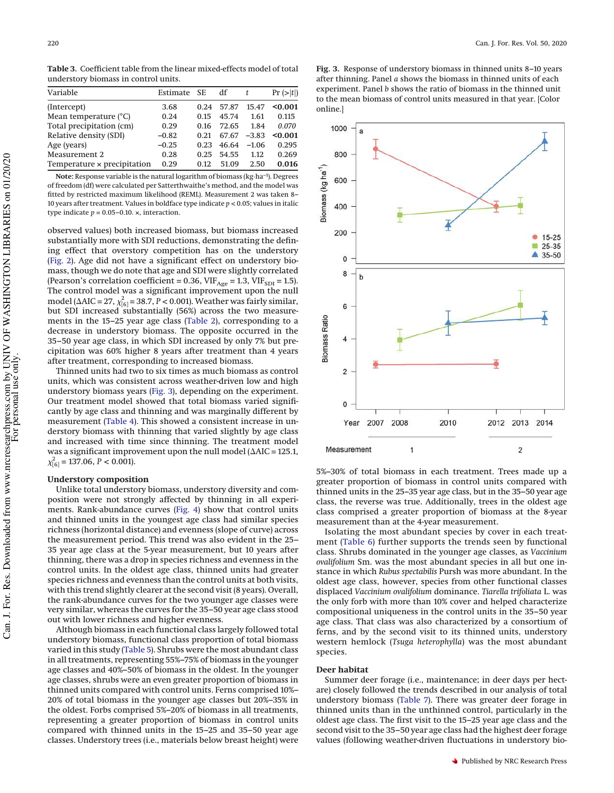<span id="page-5-0"></span>**Table 3.** Coefficient table from the linear mixed-effects model of total understory biomass in control units.

| Variable                       | Estimate SE |      | df    | t       | $Pr (>=  t )$ |
|--------------------------------|-------------|------|-------|---------|---------------|
| (Intercept)                    | 3.68        | 0.24 | 57.87 | 15.47   | < 0.001       |
| Mean temperature $(^{\circ}C)$ | 0.24        | 0.15 | 45.74 | 1.61    | 0.115         |
| Total precipitation (cm)       | 0.29        | 0.16 | 72.65 | 1.84    | 0.070         |
| Relative density (SDI)         | $-0.82$     | 0.21 | 67.67 | $-3.83$ | < 0.001       |
| Age (years)                    | $-0.25$     | 0.23 | 46.64 | $-1.06$ | 0.295         |
| Measurement 2                  | 0.28        | 0.25 | 54.55 | 1.12    | 0.269         |
| Temperature x precipitation    | 0.29        | 0.12 | 51.09 | 2.50    | 0.016         |

**Note:** Response variable is the natural logarithm of biomass (kg·ha–1). Degrees of freedom (df) were calculated per Satterthwaithe's method, and the model was fitted by restricted maximum likelihood (REML). Measurement 2 was taken 8– 10 years after treatment. Values in boldface type indicate *p* < 0.05; values in italic type indicate  $p = 0.05 - 0.10$ .  $\times$ , interaction.

observed values) both increased biomass, but biomass increased substantially more with SDI reductions, demonstrating the defining effect that overstory competition has on the understory [\(Fig. 2\)](#page-3-0). Age did not have a significant effect on understory biomass, though we do note that age and SDI were slightly correlated (Pearson's correlation coefficient = 0.36,  $VIF<sub>Age</sub> = 1.3$ ,  $VIF<sub>SDI</sub> = 1.5$ ). The control model was a significant improvement upon the null model ( $\triangle AIC = 27$ ,  $\chi^2_{[6]} = 38.7$ ,  $P < 0.001$ ). Weather was fairly similar, but SDI increased substantially (56%) across the two measurements in the 15–25 year age class [\(Table 2\)](#page-4-0), corresponding to a decrease in understory biomass. The opposite occurred in the 35–50 year age class, in which SDI increased by only 7% but precipitation was 60% higher 8 years after treatment than 4 years after treatment, corresponding to increased biomass.

Thinned units had two to six times as much biomass as control units, which was consistent across weather-driven low and high understory biomass years [\(Fig. 3\)](#page-5-1), depending on the experiment. Our treatment model showed that total biomass varied significantly by age class and thinning and was marginally different by measurement [\(Table 4\)](#page-6-0). This showed a consistent increase in understory biomass with thinning that varied slightly by age class and increased with time since thinning. The treatment model was a significant improvement upon the null model ( $\Delta AIC = 125.1$ ,  $\chi^2_{[6]} = 137.06, P < 0.001$ ).

#### **Understory composition**

Unlike total understory biomass, understory diversity and composition were not strongly affected by thinning in all experiments. Rank-abundance curves [\(Fig. 4\)](#page-6-1) show that control units and thinned units in the youngest age class had similar species richness (horizontal distance) and evenness (slope of curve) across the measurement period. This trend was also evident in the 25– 35 year age class at the 5-year measurement, but 10 years after thinning, there was a drop in species richness and evenness in the control units. In the oldest age class, thinned units had greater species richness and evenness than the control units at both visits, with this trend slightly clearer at the second visit (8 years). Overall, the rank-abundance curves for the two younger age classes were very similar, whereas the curves for the 35–50 year age class stood out with lower richness and higher evenness.

Although biomass in each functional class largely followed total understory biomass, functional class proportion of total biomass varied in this study [\(Table 5\)](#page-7-0). Shrubs were the most abundant class in all treatments, representing 55%–75% of biomass in the younger age classes and 40%–50% of biomass in the oldest. In the younger age classes, shrubs were an even greater proportion of biomass in thinned units compared with control units. Ferns comprised 10%– 20% of total biomass in the younger age classes but 20%–35% in the oldest. Forbs comprised 5%–20% of biomass in all treatments, representing a greater proportion of biomass in control units compared with thinned units in the 15–25 and 35–50 year age classes. Understory trees (i.e., materials below breast height) were

<span id="page-5-1"></span>



5%–30% of total biomass in each treatment. Trees made up a greater proportion of biomass in control units compared with thinned units in the 25–35 year age class, but in the 35–50 year age class, the reverse was true. Additionally, trees in the oldest age class comprised a greater proportion of biomass at the 8-year measurement than at the 4-year measurement.

Isolating the most abundant species by cover in each treatment [\(Table 6\)](#page-7-1) further supports the trends seen by functional class. Shrubs dominated in the younger age classes, as *Vaccinium ovalifolium* Sm. was the most abundant species in all but one instance in which *Rubus spectabilis* Pursh was more abundant. In the oldest age class, however, species from other functional classes displaced *Vaccinium ovalifolium* dominance. *Tiarella trifoliata* L. was the only forb with more than 10% cover and helped characterize compositional uniqueness in the control units in the 35–50 year age class. That class was also characterized by a consortium of ferns, and by the second visit to its thinned units, understory western hemlock (*Tsuga heterophylla*) was the most abundant species.

#### **Deer habitat**

Summer deer forage (i.e., maintenance; in deer days per hectare) closely followed the trends described in our analysis of total understory biomass [\(Table 7\)](#page-7-2). There was greater deer forage in thinned units than in the unthinned control, particularly in the oldest age class. The first visit to the 15–25 year age class and the second visit to the 35–50 year age class had the highest deer forage values (following weather-driven fluctuations in understory bio-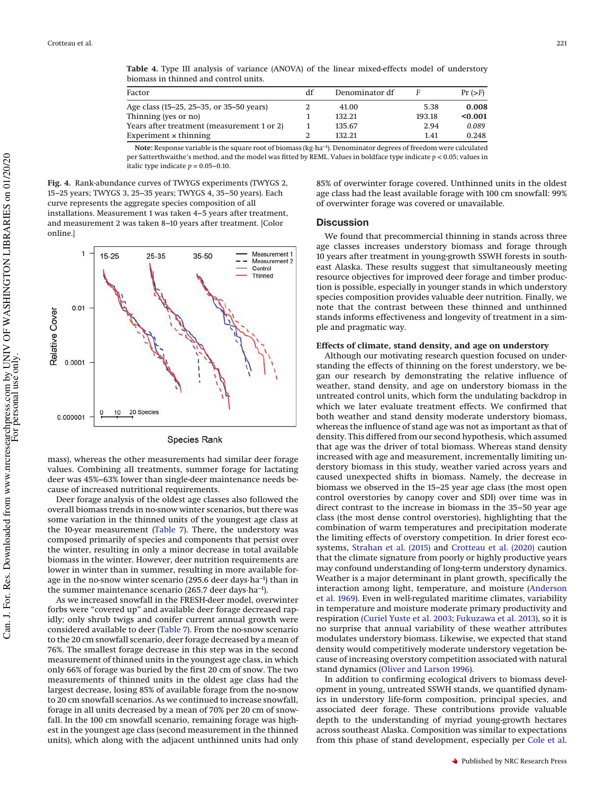<span id="page-6-0"></span>**Table 4.** Type III analysis of variance (ANOVA) of the linear mixed-effects model of understory biomass in thinned and control units.

**Note:** Response variable is the square root of biomass (kg·ha–1). Denominator degrees of freedom were calculated per Satterthwaithe's method, and the model was fitted by REML. Values in boldface type indicate *p* < 0.05; values in italic type indicate  $p = 0.05 - 0.10$ .

<span id="page-6-1"></span>**Fig. 4.** Rank-abundance curves of TWYGS experiments (TWYGS 2, 15–25 years; TWYGS 3, 25–35 years; TWYGS 4, 35–50 years). Each curve represents the aggregate species composition of all installations. Measurement 1 was taken 4–5 years after treatment, and measurement 2 was taken 8–10 years after treatment. [Color online.]



# Species Rank

mass), whereas the other measurements had similar deer forage values. Combining all treatments, summer forage for lactating deer was 45%–63% lower than single-deer maintenance needs because of increased nutritional requirements.

Deer forage analysis of the oldest age classes also followed the overall biomass trends in no-snow winter scenarios, but there was some variation in the thinned units of the youngest age class at the 10-year measurement [\(Table 7\)](#page-7-2). There, the understory was composed primarily of species and components that persist over the winter, resulting in only a minor decrease in total available biomass in the winter. However, deer nutrition requirements are lower in winter than in summer, resulting in more available forage in the no-snow winter scenario (295.6 deer days·ha–1) than in the summer maintenance scenario (265.7 deer days·ha–1).

As we increased snowfall in the FRESH-deer model, overwinter forbs were "covered up" and available deer forage decreased rapidly; only shrub twigs and conifer current annual growth were considered available to deer [\(Table 7\)](#page-7-2). From the no-snow scenario to the 20 cm snowfall scenario, deer forage decreased by a mean of 76%. The smallest forage decrease in this step was in the second measurement of thinned units in the youngest age class, in which only 66% of forage was buried by the first 20 cm of snow. The two measurements of thinned units in the oldest age class had the largest decrease, losing 85% of available forage from the no-snow to 20 cm snowfall scenarios. As we continued to increase snowfall, forage in all units decreased by a mean of 70% per 20 cm of snowfall. In the 100 cm snowfall scenario, remaining forage was highest in the youngest age class (second measurement in the thinned units), which along with the adjacent unthinned units had only

85% of overwinter forage covered. Unthinned units in the oldest age class had the least available forage with 100 cm snowfall: 99% of overwinter forage was covered or unavailable.

# **Discussion**

We found that precommercial thinning in stands across three age classes increases understory biomass and forage through 10 years after treatment in young-growth SSWH forests in southeast Alaska. These results suggest that simultaneously meeting resource objectives for improved deer forage and timber production is possible, especially in younger stands in which understory species composition provides valuable deer nutrition. Finally, we note that the contrast between these thinned and unthinned stands informs effectiveness and longevity of treatment in a simple and pragmatic way.

## **Effects of climate, stand density, and age on understory**

Although our motivating research question focused on understanding the effects of thinning on the forest understory, we began our research by demonstrating the relative influence of weather, stand density, and age on understory biomass in the untreated control units, which form the undulating backdrop in which we later evaluate treatment effects. We confirmed that both weather and stand density moderate understory biomass, whereas the influence of stand age was not as important as that of density. This differed from our second hypothesis, which assumed that age was the driver of total biomass. Whereas stand density increased with age and measurement, incrementally limiting understory biomass in this study, weather varied across years and caused unexpected shifts in biomass. Namely, the decrease in biomass we observed in the 15–25 year age class (the most open control overstories by canopy cover and SDI) over time was in direct contrast to the increase in biomass in the 35–50 year age class (the most dense control overstories), highlighting that the combination of warm temperatures and precipitation moderate the limiting effects of overstory competition. In drier forest ecosystems, [Strahan et al. \(2015\)](#page-10-12) and [Crotteau et al. \(2020\)](#page-9-14) caution that the climate signature from poorly or highly productive years may confound understanding of long-term understory dynamics. Weather is a major determinant in plant growth, specifically the interaction among light, temperature, and moisture [\(Anderson](#page-9-20) [et al. 1969\)](#page-9-20). Even in well-regulated maritime climates, variability in temperature and moisture moderate primary productivity and respiration [\(Curiel Yuste et al. 2003;](#page-9-21) [Fukuzawa et al. 2013\)](#page-9-22), so it is no surprise that annual variability of these weather attributes modulates understory biomass. Likewise, we expected that stand density would competitively moderate understory vegetation because of increasing overstory competition associated with natural stand dynamics [\(Oliver and Larson 1996\)](#page-10-4).

In addition to confirming ecological drivers to biomass development in young, untreated SSWH stands, we quantified dynamics in understory life-form composition, principal species, and associated deer forage. These contributions provide valuable depth to the understanding of myriad young-growth hectares across southeast Alaska. Composition was similar to expectations from this phase of stand development, especially per [Cole et al.](#page-9-10)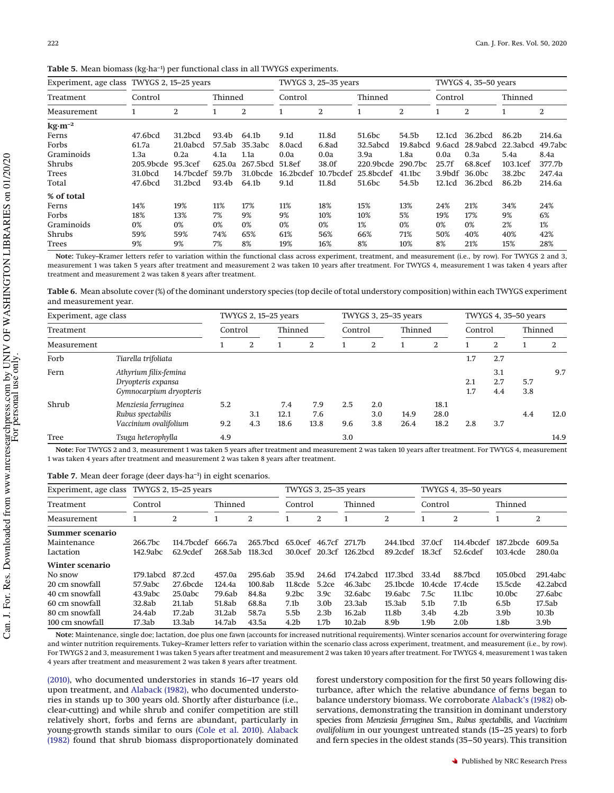<span id="page-7-0"></span>

|  |  |  | Table 5. Mean biomass (kg·ha <sup>-1</sup> ) per functional class in all TWYGS experiments. |  |
|--|--|--|---------------------------------------------------------------------------------------------|--|
|--|--|--|---------------------------------------------------------------------------------------------|--|

| Experiment, age class TWYGS 2, 15–25 years |           |                    |         |                   |           | TWYGS 3, 25-35 years<br>TWYGS 4, 35-50 years |                    |                    |         |                    |                     |         |
|--------------------------------------------|-----------|--------------------|---------|-------------------|-----------|----------------------------------------------|--------------------|--------------------|---------|--------------------|---------------------|---------|
| Treatment                                  | Control   |                    | Thinned |                   | Control   |                                              | Thinned            |                    | Control |                    | Thinned             |         |
| Measurement                                |           | 2                  |         | 2<br>2<br>2       |           |                                              | 2                  |                    | 2       |                    |                     |         |
| $\text{kg}\cdot\text{m}^{-2}$              |           |                    |         |                   |           |                                              |                    |                    |         |                    |                     |         |
| Ferns                                      | 47.6bcd   | 31.2bcd            | 93.4b   | 64.1 <sub>b</sub> | 9.1d      | 11.8d                                        | 51.6 <sub>bc</sub> | 54.5b              | 12.1cd  | 36.2bcd            | 86.2b               | 214.6a  |
| Forbs                                      | 61.7a     | 21.0abcd           | 57.5ab  | 35.3abc           | 8.0acd    | 6.8 <sub>ad</sub>                            | 32.5abcd           | 19.8abcd           | 9.6acd  | 28.9abcd           | 22.3abcd            | 49.7abc |
| Graminoids                                 | 1.3a      | 0.2a               | 4.1a    | 1.1a              | 0.0a      | 0.0a                                         | 3.9a               | 1.8a               | 0.0a    | 0.3a               | 5.4a                | 8.4a    |
| Shrubs                                     | 205.9bcde | 95.3 <sub>cf</sub> | 625.0a  | 267.5bcd          | 51.8ef    | 38.0f                                        | $220.9$ bcde       | 290.7bc            | 25.7f   | 68.8cef            | $103.1\mathrm{cef}$ | 377.7b  |
| Trees                                      | 31.0bcd   | 14.7bcdef          | 59.7b   | 31.0bcde          | 16.2bcdef | 10.7bcdef                                    | 25.8bcdef          | 41.1 <sub>bc</sub> | 3.9bdf  | 36.0 <sub>bc</sub> | 38.2bc              | 247.4a  |
| Total                                      | 47.6bcd   | 31.2bcd            | 93.4b   | 64.1b             | 9.1d      | 11.8d                                        | 51.6 <sub>bc</sub> | 54.5b              | 12.1cd  | 36.2bcd            | 86.2b               | 214.6a  |
| % of total                                 |           |                    |         |                   |           |                                              |                    |                    |         |                    |                     |         |
| Ferns                                      | 14%       | 19%                | 11%     | 17%               | 11%       | 18%                                          | 15%                | 13%                | 24%     | 21%                | 34%                 | 24%     |
| Forbs                                      | 18%       | 13%                | 7%      | 9%                | 9%        | 10%                                          | 10%                | 5%                 | 19%     | 17%                | 9%                  | 6%      |
| Graminoids                                 | 0%        | 0%                 | 0%      | 0%                | 0%        | 0%                                           | 1%                 | 0%                 | 0%      | 0%                 | 2%                  | 1%      |
| Shrubs                                     | 59%       | 59%                | 74%     | 65%               | 61%       | 56%                                          | 66%                | 71%                | 50%     | 40%                | 40%                 | 42%     |
| Trees                                      | 9%        | 9%                 | 7%      | 8%                | 19%       | 16%                                          | 8%                 | 10%                | 8%      | 21%                | 15%                 | 28%     |

**Note:** Tukey–Kramer letters refer to variation within the functional class across experiment, treatment, and measurement (i.e., by row). For TWYGS 2 and 3, measurement 1 was taken 5 years after treatment and measurement 2 was taken 10 years after treatment. For TWYGS 4, measurement 1 was taken 4 years after treatment and measurement 2 was taken 8 years after treatment.

<span id="page-7-1"></span>**Table 6.** Mean absolute cover (%) of the dominant understory species (top decile of total understory composition) within each TWYGS experiment and measurement year.

| Experiment, age class |                                                                        | TWYGS 2, 15-25 years |            |                     |                    |            | TWYGS 3, 25-35 years |              | TWYGS 4, 35-50 years |            |                   |            |      |
|-----------------------|------------------------------------------------------------------------|----------------------|------------|---------------------|--------------------|------------|----------------------|--------------|----------------------|------------|-------------------|------------|------|
| Treatment             |                                                                        | Control              |            | Thinned             |                    | Control    |                      | Thinned      |                      | Control    |                   | Thinned    |      |
| Measurement           |                                                                        |                      | 2          |                     | 2                  |            | 2                    |              | 2                    |            | 2                 |            | 2    |
| Forb                  | Tiarella trifoliata                                                    |                      |            |                     |                    |            |                      |              |                      | 1.7        | 2.7               |            |      |
| Fern                  | Athyrium filix-femina<br>Dryopteris expansa<br>Gymnocarpium dryopteris |                      |            |                     |                    |            |                      |              |                      | 2.1<br>1.7 | 3.1<br>2.7<br>4.4 | 5.7<br>3.8 | 9.7  |
| Shrub                 | Menziesia ferruginea<br>Rubus spectabilis<br>Vaccinium ovalifolium     | 5.2<br>9.2           | 3.1<br>4.3 | 7.4<br>12.1<br>18.6 | 7.9<br>7.6<br>13.8 | 2.5<br>9.6 | 2.0<br>3.0<br>3.8    | 14.9<br>26.4 | 18.1<br>28.0<br>18.2 | 2.8        | 3.7               | 4.4        | 12.0 |
| Tree                  | Tsuga heterophylla                                                     | 4.9                  |            |                     |                    | 3.0        |                      |              |                      |            |                   |            | 14.9 |

**Note:** For TWYGS 2 and 3, measurement 1 was taken 5 years after treatment and measurement 2 was taken 10 years after treatment. For TWYGS 4, measurement 1 was taken 4 years after treatment and measurement 2 was taken 8 years after treatment.

<span id="page-7-2"></span>

|  |  | <b>Table 7.</b> Mean deer forage (deer days ha <sup>-1</sup> ) in eight scenarios. |  |  |  |  |  |  |
|--|--|------------------------------------------------------------------------------------|--|--|--|--|--|--|
|--|--|------------------------------------------------------------------------------------|--|--|--|--|--|--|

| Experiment, age class TWYGS 2, 15-25 years |           |            | TWYGS 3, 25-35 years |          |                       |                  | TWYGS 4, 35-50 years    |                |                  |                    |                   |                   |
|--------------------------------------------|-----------|------------|----------------------|----------|-----------------------|------------------|-------------------------|----------------|------------------|--------------------|-------------------|-------------------|
| Treatment                                  | Control   |            | Thinned              |          | Control               |                  | Thinned                 |                | Control          |                    | Thinned           |                   |
| Measurement                                |           | 2          |                      | 2        |                       | 2                |                         | $\overline{2}$ |                  | $\overline{2}$     |                   | 2                 |
| Summer scenario                            |           |            |                      |          |                       |                  |                         |                |                  |                    |                   |                   |
| Maintenance                                | 266.7bc   | 114.7bcdef | 666.7a               | 265.7bcd | 65.0cef 46.7cf 271.7b |                  |                         | 244.1bcd       | 37.0cf           | 114.4bcdef         | 187.2bcde         | 609.5a            |
| Lactation                                  | 142.9abc  | 62.9cdef   | 268.5ab              | 118.3cd  |                       |                  | 30.0cef 20.3cf 126.2bcd | 89.2cdef       | 18.3cf           | 52.6cdef           | 103.4cde          | 280.0a            |
| Winter scenario                            |           |            |                      |          |                       |                  |                         |                |                  |                    |                   |                   |
| No snow                                    | 179.1abcd | 87.2cd     | 457.0a               | 295.6ab  | 35.9d                 | 24.6d            | 174.2abcd               | 117.3bcd       | 33.4d            | 88.7bcd            | 105.0bcd          | 291.4abc          |
| 20 cm snowfall                             | 57.9abc   | 27.6bcde   | 124.4a               | 100.8ab  | 11.8cde               | 5.2ce            | 46.3abc                 | 25.1bcde       | 10.4cde          | 17.4cde            | 15.5cde           | 42.2abcd          |
| 40 cm snowfall                             | 43.9abc   | 25.0abc    | 79.6ab               | 84.8a    | 9.2 <sub>bc</sub>     | 3.9c             | 32.6abc                 | 19.6abc        | 7.5c             | 11.1 <sub>bc</sub> | 10.0 <sub>b</sub> | 27.6abc           |
| 60 cm snowfall                             | 32.8ab    | 21.1ab     | 51.8ab               | 68.8a    | 7.1b                  | 3.0 <sub>b</sub> | 23.3ab                  | 15.3ab         | 5.1 <sub>b</sub> | 7.1 <sub>b</sub>   | 6.5 <sub>b</sub>  | 17.5ab            |
| 80 cm snowfall                             | 24.4ab    | 17.2ab     | 31.2ab               | 58.7a    | 5.5b                  | 2.3 <sub>b</sub> | 16.2ab                  | 11.8b          | 3.4 <sub>b</sub> | 4.2 <sub>b</sub>   | 3.9 <sub>b</sub>  | 10.3 <sub>b</sub> |
| 100 cm snowfall                            | 17.3ab    | 13.3ab     | 14.7ab               | 43.5a    | 4.2b                  | 1.7 <sub>b</sub> | 10.2ab                  | 8.9b           | 1.9b             | 2.0 <sub>b</sub>   | 1.8b              | 3.9b              |

**Note:** Maintenance, single doe; lactation, doe plus one fawn (accounts for increased nutritional requirements). Winter scenarios account for overwintering forage and winter nutrition requirements. Tukey–Kramer letters refer to variation within the scenario class across experiment, treatment, and measurement (i.e., by row). For TWYGS 2 and 3, measurement 1 was taken 5 years after treatment and measurement 2 was taken 10 years after treatment. For TWYGS 4, measurement 1 was taken 4 years after treatment and measurement 2 was taken 8 years after treatment.

[\(2010\),](#page-9-10) who documented understories in stands 16–17 years old upon treatment, and [Alaback \(1982\),](#page-9-2) who documented understories in stands up to 300 years old. Shortly after disturbance (i.e., clear-cutting) and while shrub and conifer competition are still relatively short, forbs and ferns are abundant, particularly in young-growth stands similar to ours [\(Cole et al. 2010\)](#page-9-10). [Alaback](#page-9-2) [\(1982\)](#page-9-2) found that shrub biomass disproportionately dominated forest understory composition for the first 50 years following disturbance, after which the relative abundance of ferns began to balance understory biomass. We corroborate [Alaback's \(1982\)](#page-9-2) observations, demonstrating the transition in dominant understory species from *Menziesia ferruginea* Sm., *Rubus spectabilis*, and *Vaccinium ovalifolium* in our youngest untreated stands (15–25 years) to forb and fern species in the oldest stands (35–50 years). This transition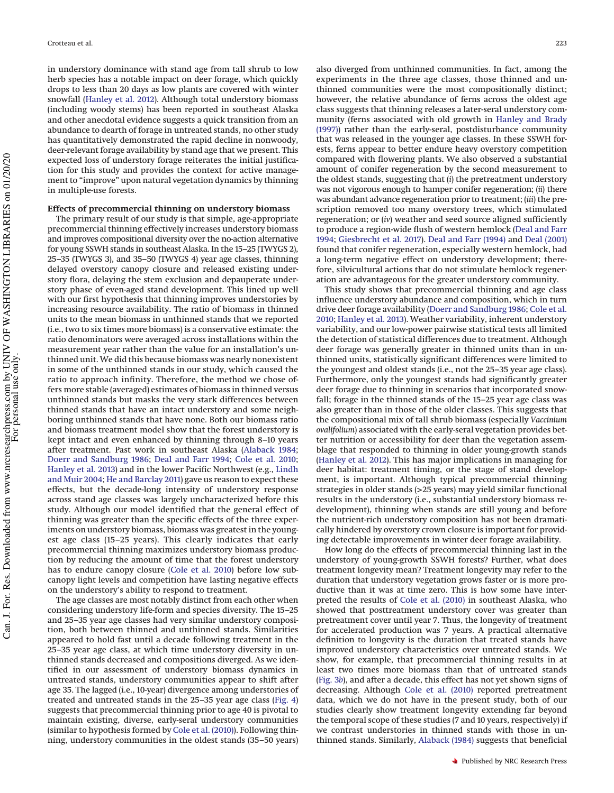in understory dominance with stand age from tall shrub to low herb species has a notable impact on deer forage, which quickly drops to less than 20 days as low plants are covered with winter snowfall [\(Hanley et al. 2012\)](#page-9-19). Although total understory biomass (including woody stems) has been reported in southeast Alaska and other anecdotal evidence suggests a quick transition from an abundance to dearth of forage in untreated stands, no other study has quantitatively demonstrated the rapid decline in nonwoody, deer-relevant forage availability by stand age that we present. This expected loss of understory forage reiterates the initial justification for this study and provides the context for active management to "improve" upon natural vegetation dynamics by thinning in multiple-use forests.

# **Effects of precommercial thinning on understory biomass**

The primary result of our study is that simple, age-appropriate precommercial thinning effectively increases understory biomass and improves compositional diversity over the no-action alternative for young SSWH stands in southeast Alaska. In the 15–25 (TWYGS 2), 25–35 (TWYGS 3), and 35–50 (TWYGS 4) year age classes, thinning delayed overstory canopy closure and released existing understory flora, delaying the stem exclusion and depauperate understory phase of even-aged stand development. This lined up well with our first hypothesis that thinning improves understories by increasing resource availability. The ratio of biomass in thinned units to the mean biomass in unthinned stands that we reported (i.e., two to six times more biomass) is a conservative estimate: the ratio denominators were averaged across installations within the measurement year rather than the value for an installation's unthinned unit. We did this because biomass was nearly nonexistent in some of the unthinned stands in our study, which caused the ratio to approach infinity. Therefore, the method we chose offers more stable (averaged) estimates of biomass in thinned versus unthinned stands but masks the very stark differences between thinned stands that have an intact understory and some neighboring unthinned stands that have none. Both our biomass ratio and biomass treatment model show that the forest understory is kept intact and even enhanced by thinning through 8–10 years after treatment. Past work in southeast Alaska [\(Alaback 1984;](#page-9-6) [Doerr and Sandburg 1986;](#page-9-9) [Deal and Farr 1994;](#page-9-7) [Cole et al. 2010;](#page-9-10) [Hanley et al. 2013\)](#page-9-11) and in the lower Pacific Northwest (e.g., [Lindh](#page-10-13) [and Muir 2004;](#page-10-13) [He and Barclay 2011\)](#page-9-23) gave us reason to expect these effects, but the decade-long intensity of understory response across stand age classes was largely uncharacterized before this study. Although our model identified that the general effect of thinning was greater than the specific effects of the three experiments on understory biomass, biomass was greatest in the youngest age class (15–25 years). This clearly indicates that early precommercial thinning maximizes understory biomass production by reducing the amount of time that the forest understory has to endure canopy closure [\(Cole et al. 2010\)](#page-9-10) before low subcanopy light levels and competition have lasting negative effects on the understory's ability to respond to treatment.

The age classes are most notably distinct from each other when considering understory life-form and species diversity. The 15–25 and 25–35 year age classes had very similar understory composition, both between thinned and unthinned stands. Similarities appeared to hold fast until a decade following treatment in the 25–35 year age class, at which time understory diversity in unthinned stands decreased and compositions diverged. As we identified in our assessment of understory biomass dynamics in untreated stands, understory communities appear to shift after age 35. The lagged (i.e., 10-year) divergence among understories of treated and untreated stands in the 25–35 year age class [\(Fig. 4\)](#page-6-1) suggests that precommercial thinning prior to age 40 is pivotal to maintain existing, diverse, early-seral understory communities (similar to hypothesis formed by [Cole et al. \(2010\)\)](#page-9-10). Following thinning, understory communities in the oldest stands (35–50 years)

also diverged from unthinned communities. In fact, among the experiments in the three age classes, those thinned and unthinned communities were the most compositionally distinct; however, the relative abundance of ferns across the oldest age class suggests that thinning releases a later-seral understory community (ferns associated with old growth in [Hanley and Brady](#page-9-13) [\(1997\)\)](#page-9-13) rather than the early-seral, postdisturbance community that was released in the younger age classes. In these SSWH forests, ferns appear to better endure heavy overstory competition compared with flowering plants. We also observed a substantial amount of conifer regeneration by the second measurement to the oldest stands, suggesting that (*i*) the pretreatment understory was not vigorous enough to hamper conifer regeneration; (*ii*) there was abundant advance regeneration prior to treatment; (*iii*) the prescription removed too many overstory trees, which stimulated regeneration; or (*iv*) weather and seed source aligned sufficiently to produce a region-wide flush of western hemlock [\(Deal and Farr](#page-9-7) [1994;](#page-9-7) [Giesbrecht et al. 2017\)](#page-9-24). [Deal and Farr \(1994\)](#page-9-7) and [Deal \(2001\)](#page-9-25) found that conifer regeneration, especially western hemlock, had a long-term negative effect on understory development; therefore, silvicultural actions that do not stimulate hemlock regeneration are advantageous for the greater understory community.

This study shows that precommercial thinning and age class influence understory abundance and composition, which in turn drive deer forage availability [\(Doerr and Sandburg 1986;](#page-9-9) [Cole et al.](#page-9-10) [2010;](#page-9-10) [Hanley et al. 2013\)](#page-9-11). Weather variability, inherent understory variability, and our low-power pairwise statistical tests all limited the detection of statistical differences due to treatment. Although deer forage was generally greater in thinned units than in unthinned units, statistically significant differences were limited to the youngest and oldest stands (i.e., not the 25–35 year age class). Furthermore, only the youngest stands had significantly greater deer forage due to thinning in scenarios that incorporated snowfall; forage in the thinned stands of the 15–25 year age class was also greater than in those of the older classes. This suggests that the compositional mix of tall shrub biomass (especially *Vaccinium ovalifolium*) associated with the early-seral vegetation provides better nutrition or accessibility for deer than the vegetation assemblage that responded to thinning in older young-growth stands [\(Hanley et al. 2012\)](#page-9-19). This has major implications in managing for deer habitat: treatment timing, or the stage of stand development, is important. Although typical precommercial thinning strategies in older stands (>25 years) may yield similar functional results in the understory (i.e., substantial understory biomass redevelopment), thinning when stands are still young and before the nutrient-rich understory composition has not been dramatically hindered by overstory crown closure is important for providing detectable improvements in winter deer forage availability.

How long do the effects of precommercial thinning last in the understory of young-growth SSWH forests? Further, what does treatment longevity mean? Treatment longevity may refer to the duration that understory vegetation grows faster or is more productive than it was at time zero. This is how some have interpreted the results of [Cole et al. \(2010\)](#page-9-10) in southeast Alaska, who showed that posttreatment understory cover was greater than pretreatment cover until year 7. Thus, the longevity of treatment for accelerated production was 7 years. A practical alternative definition to longevity is the duration that treated stands have improved understory characteristics over untreated stands. We show, for example, that precommercial thinning results in at least two times more biomass than that of untreated stands [\(Fig. 3](#page-5-1)*b*), and after a decade, this effect has not yet shown signs of decreasing. Although [Cole et al. \(2010\)](#page-9-10) reported pretreatment data, which we do not have in the present study, both of our studies clearly show treatment longevity extending far beyond the temporal scope of these studies (7 and 10 years, respectively) if we contrast understories in thinned stands with those in unthinned stands. Similarly, [Alaback \(1984\)](#page-9-6) suggests that beneficial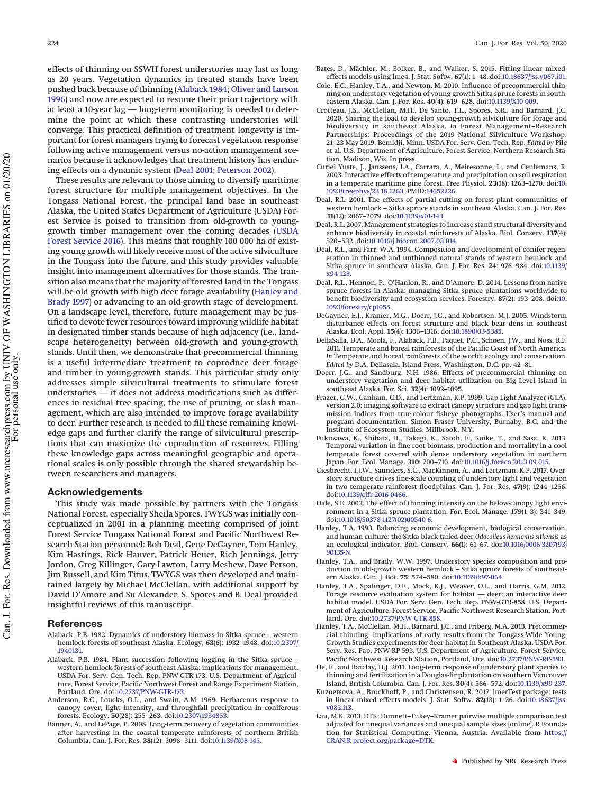effects of thinning on SSWH forest understories may last as long as 20 years. Vegetation dynamics in treated stands have been pushed back because of thinning [\(Alaback 1984;](#page-9-6) [Oliver and Larson](#page-10-4) [1996\)](#page-10-4) and now are expected to resume their prior trajectory with at least a 10-year lag — long-term monitoring is needed to determine the point at which these contrasting understories will converge. This practical definition of treatment longevity is important for forest managers trying to forecast vegetation response following active management versus no-action management scenarios because it acknowledges that treatment history has enduring effects on a dynamic system [\(Deal 2001;](#page-9-25) [Peterson 2002\)](#page-10-14).

These results are relevant to those aiming to diversify maritime forest structure for multiple management objectives. In the Tongass National Forest, the principal land base in southeast Alaska, the United States Department of Agriculture (USDA) Forest Service is poised to transition from old-growth to younggrowth timber management over the coming decades [\(USDA](#page-10-15) [Forest Service 2016\)](#page-10-15). This means that roughly 100 000 ha of existing young growth will likely receive most of the active silviculture in the Tongass into the future, and this study provides valuable insight into management alternatives for those stands. The transition also means that the majority of forested land in the Tongass will be old growth with high deer forage availability [\(Hanley and](#page-9-13) [Brady 1997\)](#page-9-13) or advancing to an old-growth stage of development. On a landscape level, therefore, future management may be justified to devote fewer resources toward improving wildlife habitat in designated timber stands because of high adjacency (i.e., landscape heterogeneity) between old-growth and young-growth stands. Until then, we demonstrate that precommercial thinning is a useful intermediate treatment to coproduce deer forage and timber in young-growth stands. This particular study only addresses simple silvicultural treatments to stimulate forest understories — it does not address modifications such as differences in residual tree spacing, the use of pruning, or slash management, which are also intended to improve forage availability to deer. Further research is needed to fill these remaining knowledge gaps and further clarify the range of silvicultural prescriptions that can maximize the coproduction of resources. Filling these knowledge gaps across meaningful geographic and operational scales is only possible through the shared stewardship between researchers and managers.

## **Acknowledgements**

This study was made possible by partners with the Tongass National Forest, especially Sheila Spores. TWYGS was initially conceptualized in 2001 in a planning meeting comprised of joint Forest Service Tongass National Forest and Pacific Northwest Research Station personnel: Bob Deal, Gene DeGayner, Tom Hanley, Kim Hastings, Rick Hauver, Patrick Heuer, Rich Jennings, Jerry Jordon, Greg Killinger, Gary Lawton, Larry Meshew, Dave Person, Jim Russell, and Kim Titus. TWYGS was then developed and maintained largely by Michael McClellan, with additional support by David D'Amore and Su Alexander. S. Spores and B. Deal provided insightful reviews of this manuscript.

#### <span id="page-9-2"></span>**References**

- Alaback, P.B. 1982. Dynamics of understory biomass in Sitka spruce western hemlock forests of southeast Alaska. Ecology, **63**(6): 1932–1948. doi[:10.2307/](http://dx.doi.org/10.2307/1940131) [1940131.](http://dx.doi.org/10.2307/1940131)
- <span id="page-9-6"></span>Alaback, P.B. 1984. Plant succession following logging in the Sitka spruce – western hemlock forests of southeast Alaska: implications for management. USDA For. Serv. Gen. Tech. Rep. PNW-GTR-173. U.S. Department of Agriculture, Forest Service, Pacific Northwest Forest and Range Experiment Station, Portland, Ore. doi[:10.2737/PNW-GTR-173.](http://dx.doi.org/10.2737/PNW-GTR-173)
- <span id="page-9-20"></span>Anderson, R.C., Loucks, O.L., and Swain, A.M. 1969. Herbaceous response to canopy cover, light intensity, and throughfall precipitation in coniferous forests. Ecology, **50**(28): 255–263. doi[:10.2307/1934853.](http://dx.doi.org/10.2307/1934853)
- <span id="page-9-8"></span>Banner, A., and LePage, P. 2008. Long-term recovery of vegetation communities after harvesting in the coastal temperate rainforests of northern British Columbia. Can. J. For. Res. **38**(12): 3098–3111. doi[:10.1139/X08-145.](http://dx.doi.org/10.1139/X08-145)
- <span id="page-9-16"></span>Bates, D., Mächler, M., Bolker, B., and Walker, S. 2015. Fitting linear mixedeffects models using lme4. J. Stat. Softw. **67**(1): 1–48. doi[:10.18637/jss.v067.i01.](http://dx.doi.org/10.18637/jss.v067.i01)
- <span id="page-9-10"></span>Cole, E.C., Hanley, T.A., and Newton, M. 2010. Influence of precommercial thinning on understory vegetation of young-growth Sitka spruce forests in southeastern Alaska. Can. J. For. Res. **40**(4): 619–628. doi[:10.1139/X10-009.](http://dx.doi.org/10.1139/X10-009)
- <span id="page-9-14"></span>Crotteau, J.S., McClellan, M.H., De Santo, T.L., Spores, S.R., and Barnard, J.C. 2020. Sharing the load to develop young-growth silviculture for forage and biodiversity in southeast Alaska. *In* Forest Management–Research Partnerships: Proceedings of the 2019 National Silviculture Workshop, 21–23 May 2019, Bemidji, Minn. USDA For. Serv. Gen. Tech. Rep. *Edited by* Pile et al. U.S. Department of Agriculture, Forest Service, Northern Research Station, Madison, Wis. In press.
- <span id="page-9-21"></span>Curiel Yuste, J., Janssens, I.A., Carrara, A., Meiresonne, L., and Ceulemans, R. 2003. Interactive effects of temperature and precipitation on soil respiration in a temperate maritime pine forest. Tree Physiol. **23**(18): 1263–1270. doi[:10.](http://dx.doi.org/10.1093/treephys/23.18.1263) [1093/treephys/23.18.1263.](http://dx.doi.org/10.1093/treephys/23.18.1263) PMID[:14652226.](http://www.ncbi.nlm.nih.gov/pubmed/14652226)
- <span id="page-9-25"></span>Deal, R.L. 2001. The effects of partial cutting on forest plant communities of western hemlock – Sitka spruce stands in southeast Alaska. Can. J. For. Res. **31**(12): 2067–2079. doi[:10.1139/x01-143.](http://dx.doi.org/10.1139/x01-143)
- <span id="page-9-5"></span>Deal, R.L. 2007. Management strategies to increase stand structural diversity and enhance biodiversity in coastal rainforests of Alaska. Biol. Conserv. **137**(4): 520–532. doi[:10.1016/j.biocon.2007.03.014.](http://dx.doi.org/10.1016/j.biocon.2007.03.014)
- <span id="page-9-7"></span>Deal, R.L., and Farr, W.A. 1994. Composition and development of conifer regeneration in thinned and unthinned natural stands of western hemlock and Sitka spruce in southeast Alaska. Can. J. For. Res. **24**: 976–984. doi[:10.1139/](http://dx.doi.org/10.1139/x94-128) [x94-128.](http://dx.doi.org/10.1139/x94-128)
- <span id="page-9-1"></span>Deal, R.L., Hennon, P., O'Hanlon, R., and D'Amore, D. 2014. Lessons from native spruce forests in Alaska: managing Sitka spruce plantations worldwide to benefit biodiversity and ecosystem services. Forestry, **87**(2): 193–208. doi[:10.](http://dx.doi.org/10.1093/forestry/cpt055) [1093/forestry/cpt055.](http://dx.doi.org/10.1093/forestry/cpt055)
- <span id="page-9-3"></span>DeGayner, E.J., Kramer, M.G., Doerr, J.G., and Robertsen, M.J. 2005. Windstorm disturbance effects on forest structure and black bear dens in southeast Alaska. Ecol. Appl. **15**(4): 1306–1316. doi[:10.1890/03-5385.](http://dx.doi.org/10.1890/03-5385)
- <span id="page-9-0"></span>DellaSalla, D.A., Moola, F., Alaback, P.B., Paquet, P.C., Schoen, J.W., and Noss, R.F. 2011. Temperate and boreal rainforests of the Pacific Coast of North America. *In* Temperate and boreal rainforests of the world: ecology and conservation. *Edited by* D.A. Dellasala. Island Press, Washington, D.C. pp. 42–81.
- <span id="page-9-9"></span>Doerr, J.G., and Sandburg, N.H. 1986. Effects of precommercial thinning on understory vegetation and deer habitat utilization on Big Level Island in southeast Alaska. For. Sci. **32**(4): 1092–1095.
- <span id="page-9-15"></span>Frazer, G.W., Canham, C.D., and Lertzman, K.P. 1999. Gap Light Analyzer (GLA), version 2.0: imaging software to extract canopy structure and gap light transmission indices from true-colour fisheye photographs. User's manual and program documentation. Simon Fraser University, Burnaby, B.C. and the Institute of Ecosystem Studies, Millbrook, N.Y.
- <span id="page-9-22"></span>Fukuzawa, K., Shibata, H., Takagi, K., Satoh, F., Koike, T., and Sasa, K. 2013. Temporal variation in fine-root biomass, production and mortality in a cool temperate forest covered with dense understory vegetation in northern Japan. For. Ecol. Manage. **310**: 700–710. doi[:10.1016/j.foreco.2013.09.015.](http://dx.doi.org/10.1016/j.foreco.2013.09.015)
- <span id="page-9-24"></span>Giesbrecht, I.J.W., Saunders, S.C., MacKinnon, A., and Lertzman, K.P. 2017. Overstory structure drives fine-scale coupling of understory light and vegetation in two temperate rainforest floodplains. Can. J. For. Res. **47**(9): 1244–1256. doi[:10.1139/cjfr-2016-0466.](http://dx.doi.org/10.1139/cjfr-2016-0466)
- <span id="page-9-4"></span>Hale, S.E. 2003. The effect of thinning intensity on the below-canopy light environment in a Sitka spruce plantation. For. Ecol. Manage. **179**(1–3): 341–349. doi[:10.1016/S0378-1127\(02\)00540-6.](http://dx.doi.org/10.1016/S0378-1127(02)00540-6)
- <span id="page-9-12"></span>Hanley, T.A. 1993. Balancing economic development, biological conservation, and human culture: the Sitka black-tailed deer *Odocoileus hemionus sitkensis* as an ecological indicator. Biol. Conserv. **66**(1): 61–67. doi[:10.1016/0006-3207\(93\)](http://dx.doi.org/10.1016/0006-3207(93)90135-N) [90135-N.](http://dx.doi.org/10.1016/0006-3207(93)90135-N)
- <span id="page-9-13"></span>Hanley, T.A., and Brady, W.W. 1997. Understory species composition and production in old-growth western hemlock – Sitka spruce forests of southeastern Alaska. Can. J. Bot. **75**: 574–580. doi[:10.1139/b97-064.](http://dx.doi.org/10.1139/b97-064)
- <span id="page-9-19"></span>Hanley, T.A., Spalinger, D.E., Mock, K.J., Weaver, O.L., and Harris, G.M. 2012. Forage resource evaluation system for habitat — deer: an interactive deer habitat model. USDA For. Serv. Gen. Tech. Rep. PNW-GTR-858. U.S. Department of Agriculture, Forest Service, Pacific Northwest Research Station, Portland, Ore. doi[:10.2737/PNW-GTR-858.](http://dx.doi.org/10.2737/PNW-GTR-858)
- <span id="page-9-11"></span>Hanley, T.A., McClellan, M.H., Barnard, J.C., and Friberg, M.A. 2013. Precommercial thinning: implications of early results from the Tongass-Wide Young-Growth Studies experiments for deer habitat in Southeast Alaska. USDA For. Serv. Res. Pap. PNW-RP-593. U.S. Department of Agriculture, Forest Service, Pacific Northwest Research Station, Portland, Ore. doi[:10.2737/PNW-RP-593.](http://dx.doi.org/10.2737/PNW-RP-593)
- <span id="page-9-23"></span>He, F., and Barclay, H.J. 2011. Long-term response of understory plant species to thinning and fertilization in a Douglas-fir plantation on southern Vancouver Island, British Columbia. Can. J. For. Res. **30**(4): 566–572. doi[:10.1139/x99-237.](http://dx.doi.org/10.1139/x99-237)
- <span id="page-9-17"></span>Kuznetsova, A., Brockhoff, P., and Christensen, R. 2017. lmerTest package: tests in linear mixed effects models. J. Stat. Softw. **82**(13): 1–26. doi[:10.18637/jss.](http://dx.doi.org/10.18637/jss.v082.i13) [v082.i13.](http://dx.doi.org/10.18637/jss.v082.i13)
- <span id="page-9-18"></span>Lau, M.K. 2013. DTK: Dunnett–Tukey–Kramer pairwise multiple comparison test adjusted for unequal variances and unequal sample sizes [online]. R Foundation for Statistical Computing, Vienna, Austria. Available from [https://](https://CRAN.R-project.org/package=DTK) [CRAN.R-project.org/package=DTK.](https://CRAN.R-project.org/package=DTK)